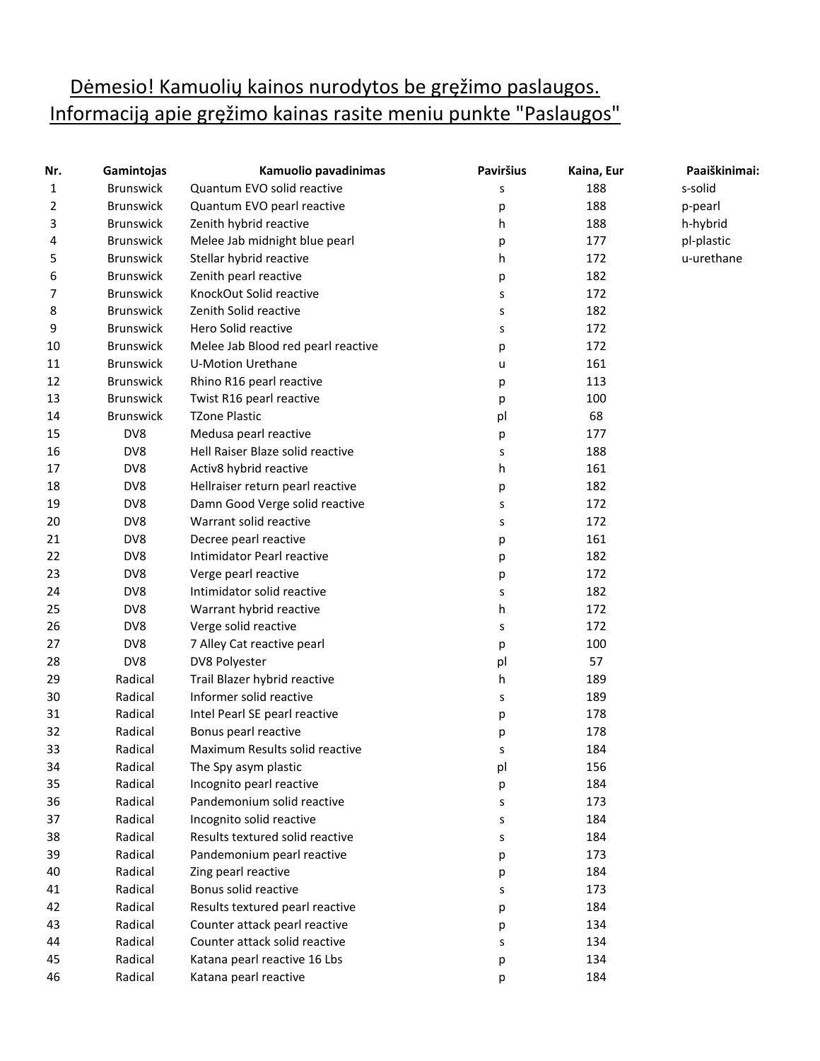## Dėmesio! Kamuolių kainos nurodytos be gręžimo paslaugos. Informaciją apie gręžimo kainas rasite meniu punkte "Paslaugos"

| Nr. | Gamintojas       | Kamuolio pavadinimas               | <b>Paviršius</b> | Kaina, Eur | Paaiškinimai: |
|-----|------------------|------------------------------------|------------------|------------|---------------|
| 1   | <b>Brunswick</b> | Quantum EVO solid reactive         | s                | 188        | s-solid       |
| 2   | <b>Brunswick</b> | Quantum EVO pearl reactive         | р                | 188        | p-pearl       |
| 3   | <b>Brunswick</b> | Zenith hybrid reactive             | h                | 188        | h-hybrid      |
| 4   | <b>Brunswick</b> | Melee Jab midnight blue pearl      | p                | 177        | pl-plastic    |
| 5   | <b>Brunswick</b> | Stellar hybrid reactive            | h                | 172        | u-urethane    |
| 6   | <b>Brunswick</b> | Zenith pearl reactive              | р                | 182        |               |
| 7   | <b>Brunswick</b> | KnockOut Solid reactive            | s                | 172        |               |
| 8   | <b>Brunswick</b> | Zenith Solid reactive              | s                | 182        |               |
| 9   | <b>Brunswick</b> | Hero Solid reactive                | s                | 172        |               |
| 10  | <b>Brunswick</b> | Melee Jab Blood red pearl reactive | р                | 172        |               |
| 11  | <b>Brunswick</b> | <b>U-Motion Urethane</b>           | u                | 161        |               |
| 12  | <b>Brunswick</b> | Rhino R16 pearl reactive           | р                | 113        |               |
| 13  | <b>Brunswick</b> | Twist R16 pearl reactive           | р                | 100        |               |
| 14  | <b>Brunswick</b> | <b>TZone Plastic</b>               | pl               | 68         |               |
| 15  | DV8              | Medusa pearl reactive              | p                | 177        |               |
| 16  | DV8              | Hell Raiser Blaze solid reactive   | s                | 188        |               |
| 17  | DV8              | Activ8 hybrid reactive             | h.               | 161        |               |
| 18  | DV8              | Hellraiser return pearl reactive   | р                | 182        |               |
| 19  | DV8              | Damn Good Verge solid reactive     | s                | 172        |               |
| 20  | DV8              | Warrant solid reactive             | S                | 172        |               |
| 21  | DV8              | Decree pearl reactive              | р                | 161        |               |
| 22  | DV8              | Intimidator Pearl reactive         | р                | 182        |               |
| 23  | DV8              | Verge pearl reactive               | р                | 172        |               |
| 24  | DV8              | Intimidator solid reactive         | s                | 182        |               |
| 25  | DV8              | Warrant hybrid reactive            | h.               | 172        |               |
| 26  | DV8              | Verge solid reactive               | s                | 172        |               |
| 27  | DV8              | 7 Alley Cat reactive pearl         | p                | 100        |               |
| 28  | DV8              | DV8 Polyester                      | pl               | 57         |               |
| 29  | Radical          | Trail Blazer hybrid reactive       | h.               | 189        |               |
| 30  | Radical          | Informer solid reactive            | s                | 189        |               |
| 31  | Radical          | Intel Pearl SE pearl reactive      | р                | 178        |               |
| 32  | Radical          | Bonus pearl reactive               | р                | 178        |               |
| 33  | Radical          | Maximum Results solid reactive     | S                | 184        |               |
| 34  | Radical          | The Spy asym plastic               | pl               | 156        |               |
| 35  | Radical          | Incognito pearl reactive           | р                | 184        |               |
| 36  | Radical          | Pandemonium solid reactive         | s                | 173        |               |
| 37  | Radical          | Incognito solid reactive           | s                | 184        |               |
| 38  | Radical          | Results textured solid reactive    | s                | 184        |               |
| 39  | Radical          | Pandemonium pearl reactive         | p                | 173        |               |
| 40  | Radical          | Zing pearl reactive                | p                | 184        |               |
| 41  | Radical          | Bonus solid reactive               | s                | 173        |               |
| 42  | Radical          | Results textured pearl reactive    | р                | 184        |               |
| 43  | Radical          | Counter attack pearl reactive      | p                | 134        |               |
| 44  | Radical          | Counter attack solid reactive      | s                | 134        |               |
| 45  | Radical          | Katana pearl reactive 16 Lbs       | p                | 134        |               |
| 46  | Radical          | Katana pearl reactive              | р                | 184        |               |